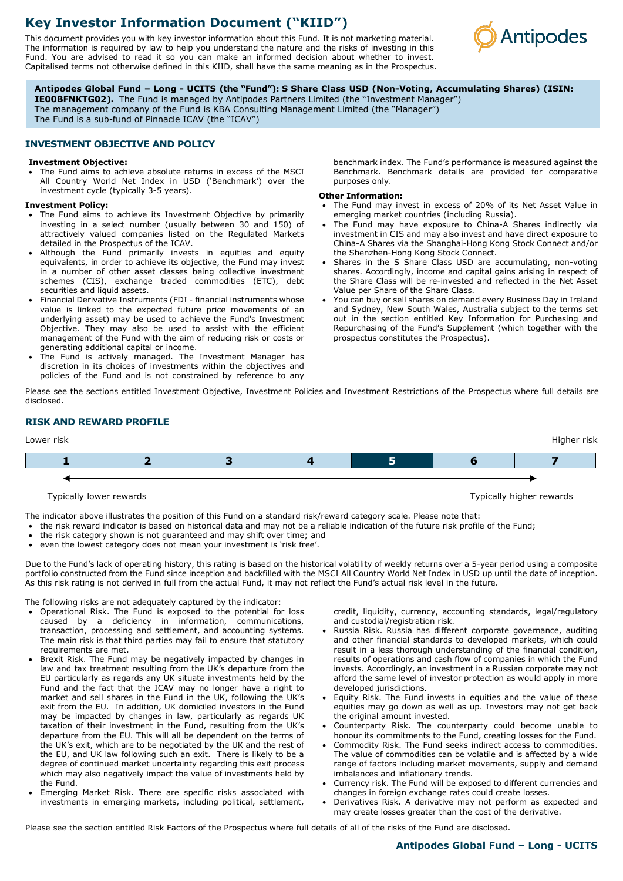# **Key Investor Information Document ("KIID")**

This document provides you with key investor information about this Fund. It is not marketing material. The information is required by law to help you understand the nature and the risks of investing in this Fund. You are advised to read it so you can make an informed decision about whether to invest. Capitalised terms not otherwise defined in this KIID, shall have the same meaning as in the Prospectus.



**Antipodes Global Fund – Long - UCITS (the "Fund"): S Share Class USD (Non-Voting, Accumulating Shares) (ISIN:** 

**IE00BFNKTG02).** The Fund is managed by Antipodes Partners Limited (the "Investment Manager") The management company of the Fund is KBA Consulting Management Limited (the "Manager")

The Fund is a sub-fund of Pinnacle ICAV (the "ICAV")

# **INVESTMENT OBJECTIVE AND POLICY**

#### **Investment Objective:**

The Fund aims to achieve absolute returns in excess of the MSCI All Country World Net Index in USD ('Benchmark') over the investment cycle (typically 3-5 years).

#### **Investment Policy:**

- The Fund aims to achieve its Investment Objective by primarily investing in a select number (usually between 30 and 150) of attractively valued companies listed on the Regulated Markets detailed in the Prospectus of the ICAV.
- Although the Fund primarily invests in equities and equity equivalents, in order to achieve its objective, the Fund may invest in a number of other asset classes being collective investment schemes (CIS), exchange traded commodities (ETC), debt securities and liquid assets.
- Financial Derivative Instruments (FDI financial instruments whose value is linked to the expected future price movements of an underlying asset) may be used to achieve the Fund's Investment Objective. They may also be used to assist with the efficient management of the Fund with the aim of reducing risk or costs or generating additional capital or income.
- The Fund is actively managed. The Investment Manager has discretion in its choices of investments within the objectives and policies of the Fund and is not constrained by reference to any

benchmark index. The Fund's performance is measured against the Benchmark. Benchmark details are provided for comparative purposes only.

### **Other Information:**

- The Fund may invest in excess of 20% of its Net Asset Value in emerging market countries (including Russia).
- The Fund may have exposure to China-A Shares indirectly via investment in CIS and may also invest and have direct exposure to China-A Shares via the Shanghai-Hong Kong Stock Connect and/or the Shenzhen-Hong Kong Stock Connect.
- Shares in the S Share Class USD are accumulating, non-voting shares. Accordingly, income and capital gains arising in respect of the Share Class will be re-invested and reflected in the Net Asset Value per Share of the Share Class.
- You can buy or sell shares on demand every Business Day in Ireland and Sydney, New South Wales, Australia subject to the terms set out in the section entitled Key Information for Purchasing and Repurchasing of the Fund's Supplement (which together with the prospectus constitutes the Prospectus).

Please see the sections entitled Investment Objective, Investment Policies and Investment Restrictions of the Prospectus where full details are disclosed.

# **RISK AND REWARD PROFILE**



#### Typically lower rewards Typically higher rewards

The indicator above illustrates the position of this Fund on a standard risk/reward category scale. Please note that:

- the risk reward indicator is based on historical data and may not be a reliable indication of the future risk profile of the Fund;
- the risk category shown is not guaranteed and may shift over time; and
- even the lowest category does not mean your investment is 'risk free'.

Due to the Fund's lack of operating history, this rating is based on the historical volatility of weekly returns over a 5-year period using a composite portfolio constructed from the Fund since inception and backfilled with the MSCI All Country World Net Index in USD up until the date of inception. As this risk rating is not derived in full from the actual Fund, it may not reflect the Fund's actual risk level in the future.

The following risks are not adequately captured by the indicator:

- Operational Risk. The Fund is exposed to the potential for loss caused by a deficiency in information, communications, transaction, processing and settlement, and accounting systems. The main risk is that third parties may fail to ensure that statutory requirements are met.
- Brexit Risk. The Fund may be negatively impacted by changes in law and tax treatment resulting from the UK's departure from the EU particularly as regards any UK situate investments held by the Fund and the fact that the ICAV may no longer have a right to market and sell shares in the Fund in the UK, following the UK's exit from the EU. In addition, UK domiciled investors in the Fund may be impacted by changes in law, particularly as regards UK taxation of their investment in the Fund, resulting from the UK's departure from the EU. This will all be dependent on the terms of the UK's exit, which are to be negotiated by the UK and the rest of the EU, and UK law following such an exit. There is likely to be a degree of continued market uncertainty regarding this exit process which may also negatively impact the value of investments held by the Fund.
- Emerging Market Risk. There are specific risks associated with investments in emerging markets, including political, settlement,

credit, liquidity, currency, accounting standards, legal/regulatory and custodial/registration risk.

- Russia Risk. Russia has different corporate governance, auditing and other financial standards to developed markets, which could result in a less thorough understanding of the financial condition, results of operations and cash flow of companies in which the Fund invests. Accordingly, an investment in a Russian corporate may not afford the same level of investor protection as would apply in more developed jurisdictions.
- Equity Risk. The Fund invests in equities and the value of these equities may go down as well as up. Investors may not get back the original amount invested.
- Counterparty Risk. The counterparty could become unable to honour its commitments to the Fund, creating losses for the Fund.
- Commodity Risk. The Fund seeks indirect access to commodities. The value of commodities can be volatile and is affected by a wide range of factors including market movements, supply and demand imbalances and inflationary trends.
- Currency risk. The Fund will be exposed to different currencies and changes in foreign exchange rates could create losses.
- Derivatives Risk. A derivative may not perform as expected and may create losses greater than the cost of the derivative.

Please see the section entitled Risk Factors of the Prospectus where full details of all of the risks of the Fund are disclosed.